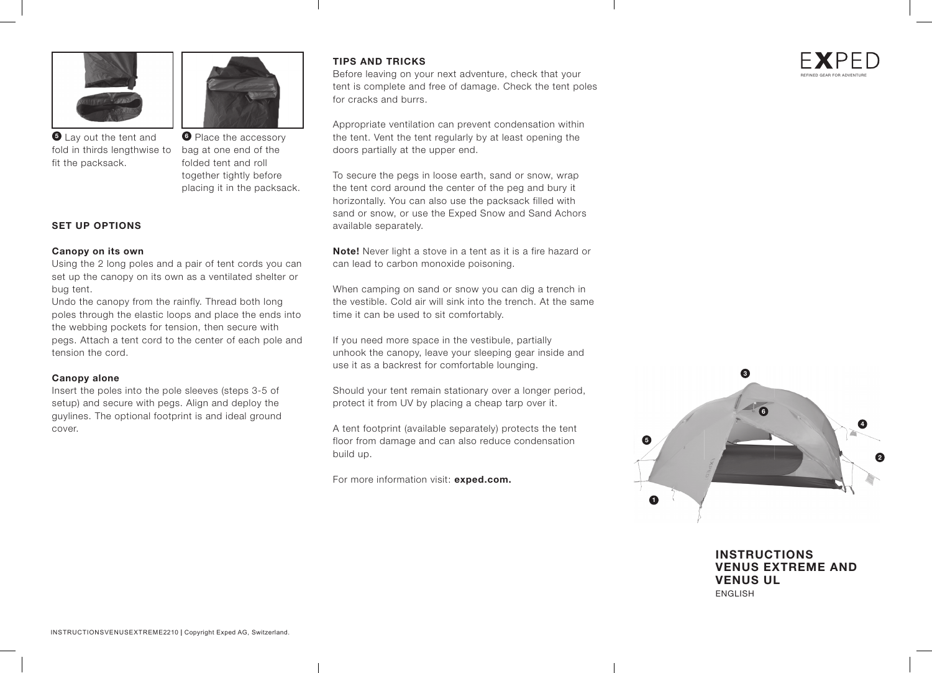



fold in thirds lengthwise to bag at one end of the **5** Lay out the tent and fit the packsack.

**6** Place the accessory folded tent and roll together tightly before placing it in the packsack.

### **SET UP OPTIONS**

#### **Canopy on its own**

Using the 2 long poles and a pair of tent cords you can set up the canopy on its own as a ventilated shelter or bug tent.

Undo the canopy from the rainfly. Thread both long poles through the elastic loops and place the ends into the webbing pockets for tension, then secure with pegs. Attach a tent cord to the center of each pole and tension the cord.

#### **Canopy alone**

Insert the poles into the pole sleeves (steps 3-5 of setup) and secure with pegs. Align and deploy the guylines. The optional footprint is and ideal ground cover.

### **TIPS AND TRICKS**

Before leaving on your next adventure, check that your tent is complete and free of damage. Check the tent poles for cracks and burrs.

Appropriate ventilation can prevent condensation within the tent. Vent the tent regularly by at least opening the doors partially at the upper end.

To secure the pegs in loose earth, sand or snow, wrap the tent cord around the center of the peg and bury it horizontally. You can also use the packsack filled with sand or snow, or use the Exped Snow and Sand Achors available separately.

**Note!** Never light a stove in a tent as it is a fire hazard or can lead to carbon monoxide poisoning.

When camping on sand or snow you can dig a trench in the vestible. Cold air will sink into the trench. At the same time it can be used to sit comfortably.

If you need more space in the vestibule, partially unhook the canopy, leave your sleeping gear inside and use it as a backrest for comfortable lounging.

Should your tent remain stationary over a longer period, protect it from UV by placing a cheap tarp over it.

A tent footprint (available separately) protects the tent floor from damage and can also reduce condensation build up.

For more information visit: **exped.com.**



**INSTRUCTIONS VENUS EXTREME AND VENUS UL** ENGLISH